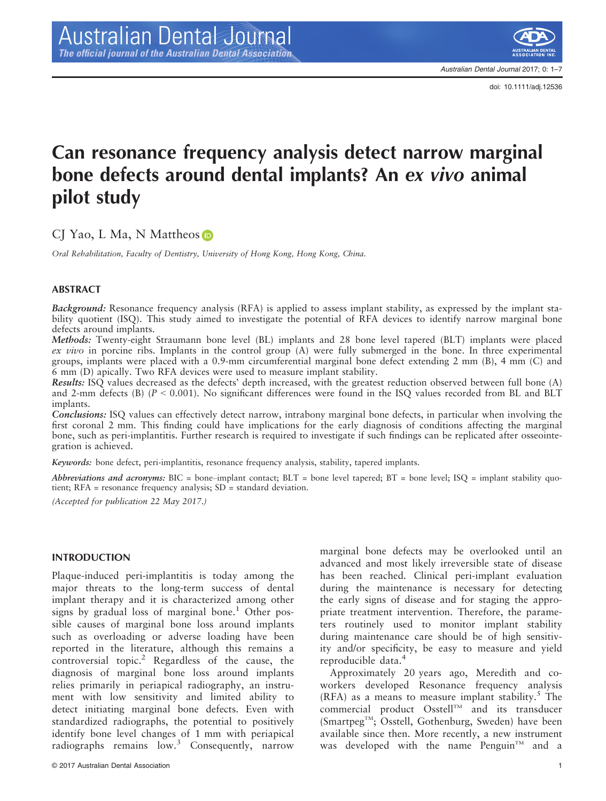doi: 10.1111/adj.12536

# Can resonance frequency analysis detect narrow marginal bone defects around dental implants? An ex vivo animal pilot study

CJ Yao, L Ma, N Mattheo[s](http://orcid.org/0000-0001-7358-7496) **D** 

Oral Rehabilitation, Faculty of Dentistry, University of Hong Kong, Hong Kong, China.

#### ABSTRACT

Background: Resonance frequency analysis (RFA) is applied to assess implant stability, as expressed by the implant stability quotient (ISQ). This study aimed to investigate the potential of RFA devices to identify narrow marginal bone defects around implants.

Methods: Twenty-eight Straumann bone level (BL) implants and 28 bone level tapered (BLT) implants were placed ex vivo in porcine ribs. Implants in the control group  $(A)$  were fully submerged in the bone. In three experimental groups, implants were placed with a 0.9-mm circumferential marginal bone defect extending 2 mm (B), 4 mm (C) and 6 mm (D) apically. Two RFA devices were used to measure implant stability.

Results: ISQ values decreased as the defects' depth increased, with the greatest reduction observed between full bone (A) and 2-mm defects (B)  $(P < 0.001)$ . No significant differences were found in the ISQ values recorded from BL and BLT implants.

Conclusions: ISQ values can effectively detect narrow, intrabony marginal bone defects, in particular when involving the first coronal 2 mm. This finding could have implications for the early diagnosis of conditions affecting the marginal bone, such as peri-implantitis. Further research is required to investigate if such findings can be replicated after osseointegration is achieved.

Keywords: bone defect, peri-implantitis, resonance frequency analysis, stability, tapered implants.

Abbreviations and acronyms: BIC = bone–implant contact; BLT = bone level tapered; BT = bone level; ISQ = implant stability quotient; RFA = resonance frequency analysis; SD = standard deviation.

(Accepted for publication 22 May 2017.)

#### INTRODUCTION

Plaque-induced peri-implantitis is today among the major threats to the long-term success of dental implant therapy and it is characterized among other signs by gradual loss of marginal bone.<sup>1</sup> Other possible causes of marginal bone loss around implants such as overloading or adverse loading have been reported in the literature, although this remains a controversial topic.<sup>2</sup> Regardless of the cause, the diagnosis of marginal bone loss around implants relies primarily in periapical radiography, an instrument with low sensitivity and limited ability to detect initiating marginal bone defects. Even with standardized radiographs, the potential to positively identify bone level changes of 1 mm with periapical radiographs remains low.<sup>3</sup> Consequently, narrow

marginal bone defects may be overlooked until an advanced and most likely irreversible state of disease has been reached. Clinical peri-implant evaluation during the maintenance is necessary for detecting the early signs of disease and for staging the appropriate treatment intervention. Therefore, the parameters routinely used to monitor implant stability during maintenance care should be of high sensitivity and/or specificity, be easy to measure and yield reproducible data.<sup>4</sup>

Approximately 20 years ago, Meredith and coworkers developed Resonance frequency analysis  $(RFA)$  as a means to measure implant stability.<sup>5</sup> The commercial product Osstell<sup>TM</sup> and its transducer (SmartpegTM; Osstell, Gothenburg, Sweden) have been available since then. More recently, a new instrument was developed with the name Penguin<sup>TM</sup> and a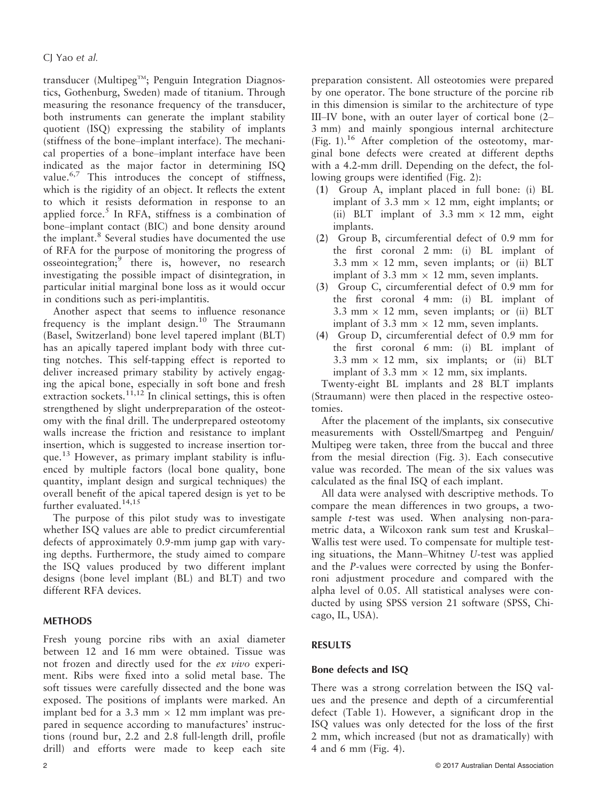transducer (Multipeg $T^M$ ; Penguin Integration Diagnostics, Gothenburg, Sweden) made of titanium. Through measuring the resonance frequency of the transducer, both instruments can generate the implant stability quotient (ISQ) expressing the stability of implants (stiffness of the bone–implant interface). The mechanical properties of a bone–implant interface have been indicated as the major factor in determining ISQ value.<sup>6,7</sup> This introduces the concept of stiffness, which is the rigidity of an object. It reflects the extent to which it resists deformation in response to an applied force.<sup>5</sup> In RFA, stiffness is a combination of bone–implant contact (BIC) and bone density around the implant.<sup>8</sup> Several studies have documented the use of RFA for the purpose of monitoring the progress of osseointegration;<sup>9</sup> there is, however, no research investigating the possible impact of disintegration, in particular initial marginal bone loss as it would occur in conditions such as peri-implantitis.

Another aspect that seems to influence resonance frequency is the implant design.<sup>10</sup> The Straumann (Basel, Switzerland) bone level tapered implant (BLT) has an apically tapered implant body with three cutting notches. This self-tapping effect is reported to deliver increased primary stability by actively engaging the apical bone, especially in soft bone and fresh extraction sockets.<sup>11,12</sup> In clinical settings, this is often strengthened by slight underpreparation of the osteotomy with the final drill. The underprepared osteotomy walls increase the friction and resistance to implant insertion, which is suggested to increase insertion torque.<sup>13</sup> However, as primary implant stability is influenced by multiple factors (local bone quality, bone quantity, implant design and surgical techniques) the overall benefit of the apical tapered design is yet to be further evaluated.<sup>14,15</sup>

The purpose of this pilot study was to investigate whether ISQ values are able to predict circumferential defects of approximately 0.9-mm jump gap with varying depths. Furthermore, the study aimed to compare the ISQ values produced by two different implant designs (bone level implant (BL) and BLT) and two different RFA devices.

## METHODS

Fresh young porcine ribs with an axial diameter between 12 and 16 mm were obtained. Tissue was not frozen and directly used for the ex vivo experiment. Ribs were fixed into a solid metal base. The soft tissues were carefully dissected and the bone was exposed. The positions of implants were marked. An implant bed for a 3.3 mm  $\times$  12 mm implant was prepared in sequence according to manufactures' instructions (round bur, 2.2 and 2.8 full-length drill, profile drill) and efforts were made to keep each site preparation consistent. All osteotomies were prepared by one operator. The bone structure of the porcine rib in this dimension is similar to the architecture of type III–IV bone, with an outer layer of cortical bone (2– 3 mm) and mainly spongious internal architecture (Fig. 1).<sup>16</sup> After completion of the osteotomy, marginal bone defects were created at different depths with a 4.2-mm drill. Depending on the defect, the following groups were identified (Fig. 2):

- (1) Group A, implant placed in full bone: (i) BL implant of 3.3 mm  $\times$  12 mm, eight implants; or (ii) BLT implant of  $3.3$  mm  $\times$  12 mm, eight implants.
- (2) Group B, circumferential defect of 0.9 mm for the first coronal 2 mm: (i) BL implant of 3.3 mm  $\times$  12 mm, seven implants; or (ii) BLT implant of 3.3 mm  $\times$  12 mm, seven implants.
- (3) Group C, circumferential defect of 0.9 mm for the first coronal 4 mm: (i) BL implant of 3.3 mm  $\times$  12 mm, seven implants; or (ii) BLT implant of 3.3 mm  $\times$  12 mm, seven implants.
- (4) Group D, circumferential defect of 0.9 mm for the first coronal 6 mm: (i) BL implant of 3.3 mm  $\times$  12 mm, six implants; or (ii) BLT implant of 3.3 mm  $\times$  12 mm, six implants.

Twenty-eight BL implants and 28 BLT implants (Straumann) were then placed in the respective osteotomies.

After the placement of the implants, six consecutive measurements with Osstell/Smartpeg and Penguin/ Multipeg were taken, three from the buccal and three from the mesial direction (Fig. 3). Each consecutive value was recorded. The mean of the six values was calculated as the final ISQ of each implant.

All data were analysed with descriptive methods. To compare the mean differences in two groups, a twosample t-test was used. When analysing non-parametric data, a Wilcoxon rank sum test and Kruskal– Wallis test were used. To compensate for multiple testing situations, the Mann–Whitney U-test was applied and the P-values were corrected by using the Bonferroni adjustment procedure and compared with the alpha level of 0.05. All statistical analyses were conducted by using SPSS version 21 software (SPSS, Chicago, IL, USA).

## RESULTS

## Bone defects and ISQ

There was a strong correlation between the ISQ values and the presence and depth of a circumferential defect (Table 1). However, a significant drop in the ISQ values was only detected for the loss of the first 2 mm, which increased (but not as dramatically) with 4 and 6 mm (Fig. 4).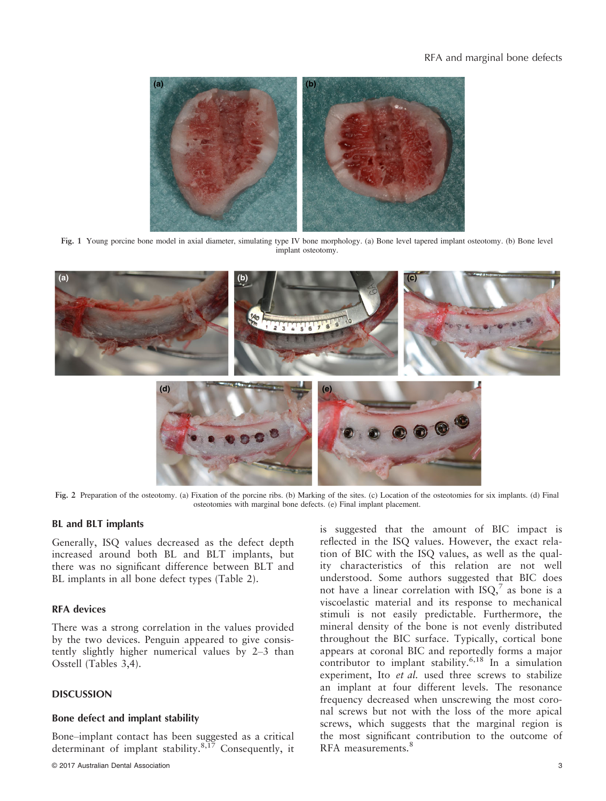

Fig. 1 Young porcine bone model in axial diameter, simulating type IV bone morphology. (a) Bone level tapered implant osteotomy. (b) Bone level implant osteotomy.



Fig. 2 Preparation of the osteotomy. (a) Fixation of the porcine ribs. (b) Marking of the sites. (c) Location of the osteotomies for six implants. (d) Final osteotomies with marginal bone defects. (e) Final implant placement.

#### BL and BLT implants

Generally, ISQ values decreased as the defect depth increased around both BL and BLT implants, but there was no significant difference between BLT and BL implants in all bone defect types (Table 2).

## RFA devices

There was a strong correlation in the values provided by the two devices. Penguin appeared to give consistently slightly higher numerical values by 2–3 than Osstell (Tables 3,4).

## DISCUSSION

#### Bone defect and implant stability

Bone–implant contact has been suggested as a critical determinant of implant stability. $8,17$  Consequently, it is suggested that the amount of BIC impact is reflected in the ISQ values. However, the exact relation of BIC with the ISQ values, as well as the quality characteristics of this relation are not well understood. Some authors suggested that BIC does not have a linear correlation with  $ISO<sub>1</sub><sup>7</sup>$  as bone is a viscoelastic material and its response to mechanical stimuli is not easily predictable. Furthermore, the mineral density of the bone is not evenly distributed throughout the BIC surface. Typically, cortical bone appears at coronal BIC and reportedly forms a major contributor to implant stability.<sup>6,18</sup> In a simulation experiment, Ito et al. used three screws to stabilize an implant at four different levels. The resonance frequency decreased when unscrewing the most coronal screws but not with the loss of the more apical screws, which suggests that the marginal region is the most significant contribution to the outcome of RFA measurements.<sup>8</sup>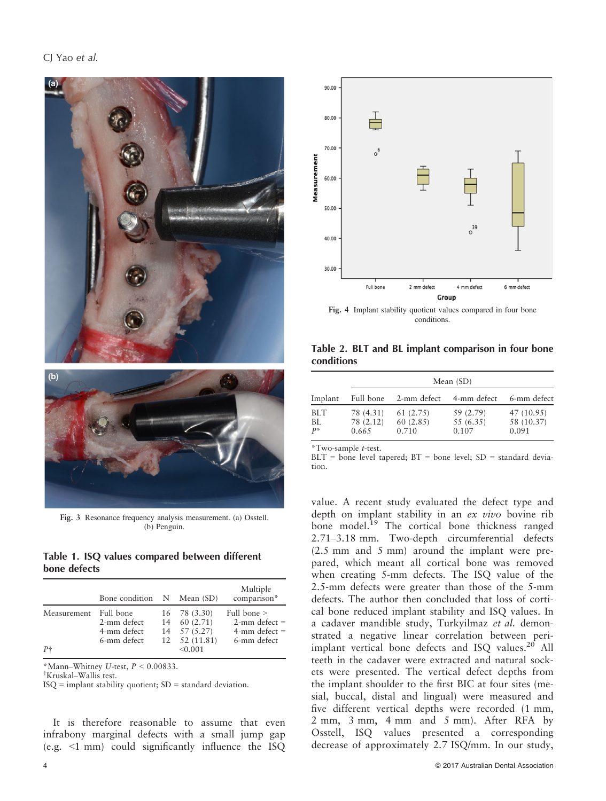

Fig. 3 Resonance frequency analysis measurement. (a) Osstell. (b) Penguin.

#### Table 1. ISQ values compared between different bone defects

|             | Bone condition N Mean (SD)                             |                                                                                     | Multiple<br>comparison*                                                |
|-------------|--------------------------------------------------------|-------------------------------------------------------------------------------------|------------------------------------------------------------------------|
| Measurement | Full bone<br>2-mm defect<br>4-mm defect<br>6-mm defect | $16$ 78 (3.30)<br>$14$ 60 $(2.71)$<br>$14$ $57$ $(5.27)$<br>$12 \quad 52 \ (11.81)$ | Full bone $>$<br>$2$ -mm defect =<br>$4$ -mm defect $=$<br>6-mm defect |
| $P+$        |                                                        | < 0.001                                                                             |                                                                        |

\*Mann–Whitney U-test,  $P < 0.00833$ .

† Kruskal–Wallis test.

ISQ = implant stability quotient; SD = standard deviation.

It is therefore reasonable to assume that even infrabony marginal defects with a small jump gap (e.g. <1 mm) could significantly influence the ISQ



Fig. 4 Implant stability quotient values compared in four bone conditions.

Table 2. BLT and BL implant comparison in four bone conditions

|                           | Mean $(SD)$                     |                               |                                 |                                   |  |
|---------------------------|---------------------------------|-------------------------------|---------------------------------|-----------------------------------|--|
| Implant                   | Full bone                       | 2-mm defect                   | 4-mm defect                     | 6-mm defect                       |  |
| <b>BLT</b><br>BL<br>$P^*$ | 78 (4.31)<br>78 (2.12)<br>0.665 | 61(2.75)<br>60(2.85)<br>0.710 | 59 (2.79)<br>55 (6.35)<br>0.107 | 47 (10.95)<br>58 (10.37)<br>0.091 |  |

\*Two-sample t-test.

 $BLT = bone level$  tapered;  $BT = bone level$ ;  $SD = standard devia$ tion.

value. A recent study evaluated the defect type and depth on implant stability in an ex vivo bovine rib bone model.<sup>19</sup> The cortical bone thickness ranged 2.71–3.18 mm. Two-depth circumferential defects (2.5 mm and 5 mm) around the implant were prepared, which meant all cortical bone was removed when creating 5-mm defects. The ISQ value of the 2.5-mm defects were greater than those of the 5-mm defects. The author then concluded that loss of cortical bone reduced implant stability and ISQ values. In a cadaver mandible study, Turkyilmaz et al. demonstrated a negative linear correlation between periimplant vertical bone defects and ISQ values.<sup>20</sup> All teeth in the cadaver were extracted and natural sockets were presented. The vertical defect depths from the implant shoulder to the first BIC at four sites (mesial, buccal, distal and lingual) were measured and five different vertical depths were recorded (1 mm, 2 mm, 3 mm, 4 mm and 5 mm). After RFA by Osstell, ISQ values presented a corresponding decrease of approximately 2.7 ISQ/mm. In our study,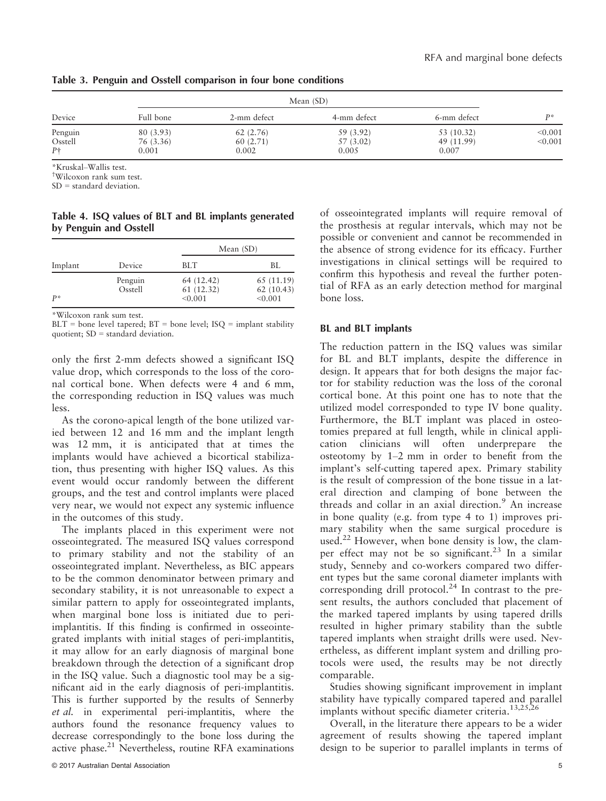|                    |                        | Mean $(SD)$          |                        |                          |                    |
|--------------------|------------------------|----------------------|------------------------|--------------------------|--------------------|
| Device             | Full bone              | 2-mm defect          | 4-mm defect            | 6-mm defect              | D*                 |
| Penguin<br>Osstell | 80 (3.93)<br>76 (3.36) | 62(2.76)<br>60(2.71) | 59 (3.92)<br>57 (3.02) | 53 (10.32)<br>49 (11.99) | < 0.001<br>< 0.001 |
| $P+$               | 0.001                  | 0.002                | 0.005                  | 0.007                    |                    |

Table 3. Penguin and Osstell comparison in four bone conditions

\*Kruskal–Wallis test.

† Wilcoxon rank sum test.

SD = standard deviation.

Table 4. ISQ values of BLT and BL implants generated by Penguin and Osstell

| Implant |                    | Mean (SD)                          |                                    |  |
|---------|--------------------|------------------------------------|------------------------------------|--|
|         | Device             | <b>BLT</b>                         | BL.                                |  |
| $P^*$   | Penguin<br>Osstell | 64 (12.42)<br>61(12.32)<br>< 0.001 | 65 (11.19)<br>62(10.43)<br>< 0.001 |  |

\*Wilcoxon rank sum test.

 $BLT =$  bone level tapered;  $BT =$  bone level;  $ISQ =$  implant stability quotient; SD = standard deviation.

only the first 2-mm defects showed a significant ISQ value drop, which corresponds to the loss of the coronal cortical bone. When defects were 4 and 6 mm, the corresponding reduction in ISQ values was much less.

As the corono-apical length of the bone utilized varied between 12 and 16 mm and the implant length was 12 mm, it is anticipated that at times the implants would have achieved a bicortical stabilization, thus presenting with higher ISQ values. As this event would occur randomly between the different groups, and the test and control implants were placed very near, we would not expect any systemic influence in the outcomes of this study.

The implants placed in this experiment were not osseointegrated. The measured ISQ values correspond to primary stability and not the stability of an osseointegrated implant. Nevertheless, as BIC appears to be the common denominator between primary and secondary stability, it is not unreasonable to expect a similar pattern to apply for osseointegrated implants, when marginal bone loss is initiated due to periimplantitis. If this finding is confirmed in osseointegrated implants with initial stages of peri-implantitis, it may allow for an early diagnosis of marginal bone breakdown through the detection of a significant drop in the ISQ value. Such a diagnostic tool may be a significant aid in the early diagnosis of peri-implantitis. This is further supported by the results of Sennerby et al. in experimental peri-implantitis, where the authors found the resonance frequency values to decrease correspondingly to the bone loss during the active phase.<sup>21</sup> Nevertheless, routine RFA examinations of osseointegrated implants will require removal of the prosthesis at regular intervals, which may not be possible or convenient and cannot be recommended in the absence of strong evidence for its efficacy. Further investigations in clinical settings will be required to confirm this hypothesis and reveal the further potential of RFA as an early detection method for marginal bone loss.

#### BL and BLT implants

The reduction pattern in the ISQ values was similar for BL and BLT implants, despite the difference in design. It appears that for both designs the major factor for stability reduction was the loss of the coronal cortical bone. At this point one has to note that the utilized model corresponded to type IV bone quality. Furthermore, the BLT implant was placed in osteotomies prepared at full length, while in clinical application clinicians will often underprepare the osteotomy by 1–2 mm in order to benefit from the implant's self-cutting tapered apex. Primary stability is the result of compression of the bone tissue in a lateral direction and clamping of bone between the threads and collar in an axial direction.<sup>9</sup> An increase in bone quality (e.g. from type 4 to 1) improves primary stability when the same surgical procedure is used.<sup>22</sup> However, when bone density is low, the clamper effect may not be so significant.<sup>23</sup> In a similar study, Senneby and co-workers compared two different types but the same coronal diameter implants with corresponding drill protocol.<sup>24</sup> In contrast to the present results, the authors concluded that placement of the marked tapered implants by using tapered drills resulted in higher primary stability than the subtle tapered implants when straight drills were used. Nevertheless, as different implant system and drilling protocols were used, the results may be not directly comparable.

Studies showing significant improvement in implant stability have typically compared tapered and parallel implants without specific diameter criteria.13,25,26

Overall, in the literature there appears to be a wider agreement of results showing the tapered implant design to be superior to parallel implants in terms of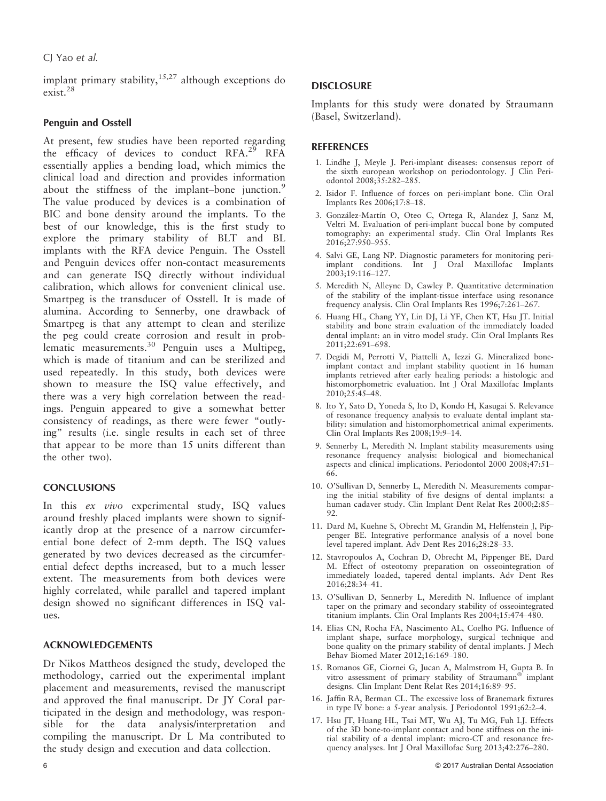implant primary stability, $15,27$  although exceptions do exist.<sup>28</sup>

## Penguin and Osstell

At present, few studies have been reported regarding the efficacy of devices to conduct RFA.<sup>29</sup> RFA essentially applies a bending load, which mimics the clinical load and direction and provides information about the stiffness of the implant–bone junction.<sup>9</sup> The value produced by devices is a combination of BIC and bone density around the implants. To the best of our knowledge, this is the first study to explore the primary stability of BLT and BL implants with the RFA device Penguin. The Osstell and Penguin devices offer non-contact measurements and can generate ISQ directly without individual calibration, which allows for convenient clinical use. Smartpeg is the transducer of Osstell. It is made of alumina. According to Sennerby, one drawback of Smartpeg is that any attempt to clean and sterilize the peg could create corrosion and result in problematic measurements.30 Penguin uses a Multipeg, which is made of titanium and can be sterilized and used repeatedly. In this study, both devices were shown to measure the ISQ value effectively, and there was a very high correlation between the readings. Penguin appeared to give a somewhat better consistency of readings, as there were fewer "outlying" results (i.e. single results in each set of three that appear to be more than 15 units different than the other two).

## **CONCLUSIONS**

In this ex vivo experimental study, ISQ values around freshly placed implants were shown to significantly drop at the presence of a narrow circumferential bone defect of 2-mm depth. The ISQ values generated by two devices decreased as the circumferential defect depths increased, but to a much lesser extent. The measurements from both devices were highly correlated, while parallel and tapered implant design showed no significant differences in ISQ values.

## ACKNOWLEDGEMENTS

Dr Nikos Mattheos designed the study, developed the methodology, carried out the experimental implant placement and measurements, revised the manuscript and approved the final manuscript. Dr JY Coral participated in the design and methodology, was responsible for the data analysis/interpretation and compiling the manuscript. Dr L Ma contributed to the study design and execution and data collection.

Implants for this study were donated by Straumann (Basel, Switzerland).

## REFERENCES

- 1. Lindhe J, Meyle J. Peri-implant diseases: consensus report of the sixth european workshop on periodontology. J Clin Periodontol 2008;35:282–285.
- 2. Isidor F. Influence of forces on peri-implant bone. Clin Oral Implants Res 2006;17:8–18.
- 3. González-Martín O, Oteo C, Ortega R, Alandez J, Sanz M, Veltri M. Evaluation of peri-implant buccal bone by computed tomography: an experimental study. Clin Oral Implants Res 2016;27:950–955.
- 4. Salvi GE, Lang NP. Diagnostic parameters for monitoring periimplant conditions. Int J Oral Maxillofac Implants 2003;19:116–127.
- 5. Meredith N, Alleyne D, Cawley P. Quantitative determination of the stability of the implant-tissue interface using resonance frequency analysis. Clin Oral Implants Res 1996;7:261–267.
- 6. Huang HL, Chang YY, Lin DJ, Li YF, Chen KT, Hsu JT. Initial stability and bone strain evaluation of the immediately loaded dental implant: an in vitro model study. Clin Oral Implants Res 2011;22:691–698.
- 7. Degidi M, Perrotti V, Piattelli A, Iezzi G. Mineralized boneimplant contact and implant stability quotient in 16 human implants retrieved after early healing periods: a histologic and histomorphometric evaluation. Int J Oral Maxillofac Implants 2010;25:45–48.
- 8. Ito Y, Sato D, Yoneda S, Ito D, Kondo H, Kasugai S. Relevance of resonance frequency analysis to evaluate dental implant stability: simulation and histomorphometrical animal experiments. Clin Oral Implants Res 2008;19:9-14.
- 9. Sennerby L, Meredith N. Implant stability measurements using resonance frequency analysis: biological and biomechanical aspects and clinical implications. Periodontol 2000 2008;47:51– 66.
- 10. O'Sullivan D, Sennerby L, Meredith N. Measurements comparing the initial stability of five designs of dental implants: a human cadaver study. Clin Implant Dent Relat Res 2000;2:85– 92.
- 11. Dard M, Kuehne S, Obrecht M, Grandin M, Helfenstein J, Pippenger BE. Integrative performance analysis of a novel bone level tapered implant. Adv Dent Res 2016;28:28–33.
- 12. Stavropoulos A, Cochran D, Obrecht M, Pippenger BE, Dard M. Effect of osteotomy preparation on osseointegration of immediately loaded, tapered dental implants. Adv Dent Res 2016;28:34–41.
- 13. O'Sullivan D, Sennerby L, Meredith N. Influence of implant taper on the primary and secondary stability of osseointegrated titanium implants. Clin Oral Implants Res 2004;15:474–480.
- 14. Elias CN, Rocha FA, Nascimento AL, Coelho PG. Influence of implant shape, surface morphology, surgical technique and bone quality on the primary stability of dental implants. J Mech Behav Biomed Mater 2012;16:169–180.
- 15. Romanos GE, Ciornei G, Jucan A, Malmstrom H, Gupta B. In vitro assessment of primary stability of Straumann® implant designs. Clin Implant Dent Relat Res 2014;16:89–95.
- 16. Jaffin RA, Berman CL. The excessive loss of Branemark fixtures in type IV bone: a 5-year analysis. J Periodontol 1991;62:2–4.
- 17. Hsu JT, Huang HL, Tsai MT, Wu AJ, Tu MG, Fuh LJ. Effects of the 3D bone-to-implant contact and bone stiffness on the initial stability of a dental implant: micro-CT and resonance frequency analyses. Int J Oral Maxillofac Surg 2013;42:276–280.